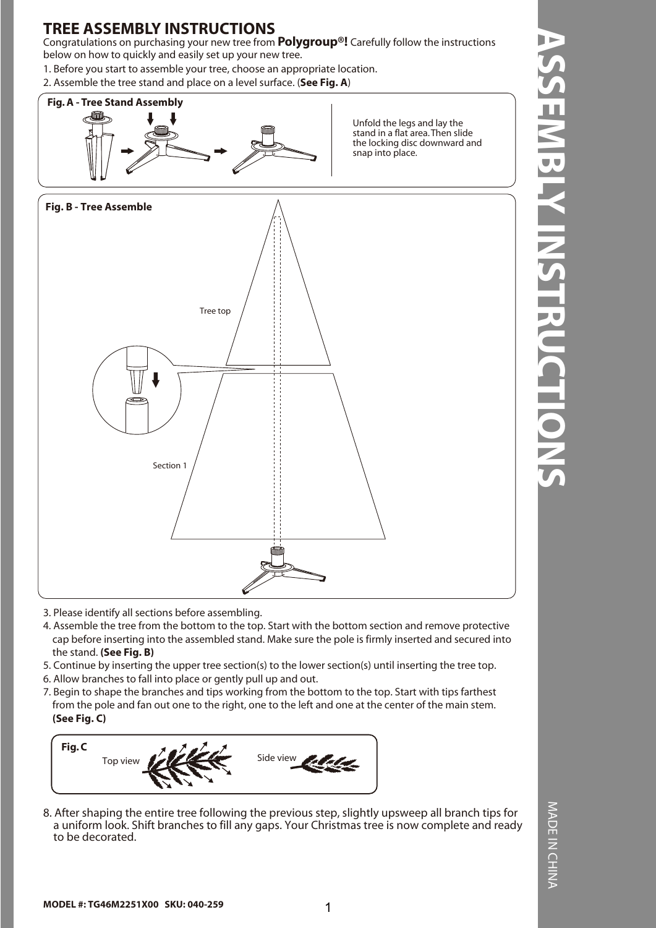Congratulations on purchasing your new tree from **Polygroup®!** Carefully follow the instructions below on how to quickly and easily set up your new tree.

1. Before you start to assemble your tree, choose an appropriate location.

2. Assemble the tree stand and place on a level surface. (**See Fig. A**)



Unfold the legs and lay the stand in a flat area. Then slide the locking disc downward and snap into place.



3. Please identify all sections before assembling.

- 4. Assemble the tree from the bottom to the top. Start with the bottom section and remove protective cap before inserting into the assembled stand. Make sure the pole is firmly inserted and secured into the stand. **(See Fig. B)**
- 5. Continue by inserting the upper tree section(s) to the lower section(s) until inserting the tree top.
- 6. Allow branches to fall into place or gently pull up and out.
- 7. Begin to shape the branches and tips working from the bottom to the top. Start with tips farthest from the pole and fan out one to the right, one to the left and one at the center of the main stem. **(See Fig. C)**



8. After shaping the entire tree following the previous step, slightly upsweep all branch tips for a uniform look. Shift branches to fill any gaps. Your Christmas tree is now complete and ready to be decorated.